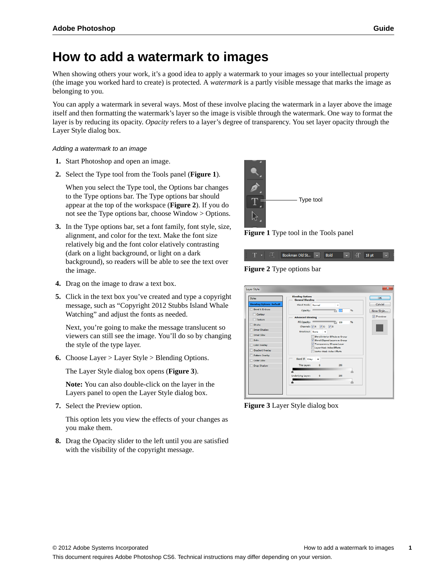## **How to add a watermark to images**

When showing others your work, it's a good idea to apply a watermark to your images so your intellectual property (the image you worked hard to create) is protected. A *watermark* is a partly visible message that marks the image as belonging to you.

You can apply a watermark in several ways. Most of these involve placing the watermark in a layer above the image itself and then formatting the watermark's layer so the image is visible through the watermark. One way to format the layer is by reducing its opacity. *Opacity* refers to a layer's degree of transparency. You set layer opacity through the Layer Style dialog box.

## *Adding a watermark to an image*

- **1.** Start Photoshop and open an image.
- **2.** Select the Type tool from the Tools panel (**[Figure 1](#page-0-2)**).

When you select the Type tool, the Options bar changes to the Type options bar. The Type options bar should appear at the top of the workspace (**[Figure 2](#page-0-0)**). If you do not see the Type options bar, choose Window > Options.

- **3.** In the Type options bar, set a font family, font style, size, alignment, and color for the text. Make the font size relatively big and the font color elatively contrasting (dark on a light background, or light on a dark background), so readers will be able to see the text over the image.
- **4.** Drag on the image to draw a text box.
- **5.** Click in the text box you've created and type a copyright message, such as "Copyright 2012 Stubbs Island Whale Watching" and adjust the fonts as needed.

Next, you're going to make the message translucent so viewers can still see the image. You'll do so by changing the style of the type layer.

**6.** Choose Layer > Layer Style > Blending Options.

The Layer Style dialog box opens (**[Figure 3](#page-0-1)**).

**Note:** You can also double-click on the layer in the Layers panel to open the Layer Style dialog box.

**7.** Select the Preview option.

This option lets you view the effects of your changes as you make them.

**8.** Drag the Opacity slider to the left until you are satisfied with the visibility of the copyright message.



**Figure 1** Type tool in the Tools panel

<span id="page-0-2"></span>

<span id="page-0-0"></span>**Figure 2** Type options bar

| Styles                           | <b>Blending Options</b><br><b>General Blending</b>    | OK        |
|----------------------------------|-------------------------------------------------------|-----------|
| <b>Blending Options: Default</b> | Blend Mode: Normal                                    | Cancel    |
| <b>Bevel &amp; Emboss</b>        | Opacity:<br>500                                       | New Style |
| Contour                          |                                                       | Preview   |
| Texture                          | <b>Advanced Blending</b>                              |           |
| Stroke                           | Fill Opacity: 1<br>畅<br>100<br>Channels: VR VG VB     |           |
| Inner Shadow                     | Knockout: None                                        |           |
| Inner Glow                       | Blend Interior Effects as Group                       |           |
| Satin                            | V Blend Cloped Lavers as Group                        |           |
| Color Overlay                    | V Transparency Shapes Laver                           |           |
| Gradient Overlay                 | Laver Mask Hides Effects<br>Vector Mask Hides Effects |           |
| Pattern Overlay                  |                                                       |           |
| <b>Duter Glow</b>                | Blend If: Gray                                        |           |
| Drop Shadow                      | This Layer:<br>255<br>٥                               |           |
|                                  |                                                       |           |
|                                  | Underlying Layer:<br>255<br>٥                         |           |
|                                  | ŵ<br>A                                                |           |
|                                  |                                                       |           |

<span id="page-0-1"></span>**Figure 3** Layer Style dialog box